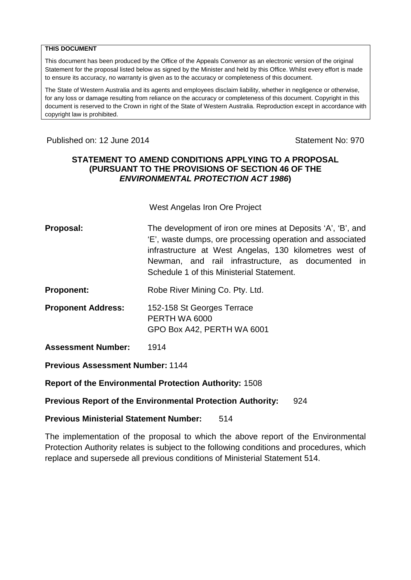#### **THIS DOCUMENT**

This document has been produced by the Office of the Appeals Convenor as an electronic version of the original Statement for the proposal listed below as signed by the Minister and held by this Office. Whilst every effort is made to ensure its accuracy, no warranty is given as to the accuracy or completeness of this document.

The State of Western Australia and its agents and employees disclaim liability, whether in negligence or otherwise, for any loss or damage resulting from reliance on the accuracy or completeness of this document. Copyright in this document is reserved to the Crown in right of the State of Western Australia. Reproduction except in accordance with copyright law is prohibited.

### Published on: 12 June 2014 **Statement No: 970**

#### **STATEMENT TO AMEND CONDITIONS APPLYING TO A PROPOSAL (PURSUANT TO THE PROVISIONS OF SECTION 46 OF THE**  *ENVIRONMENTAL PROTECTION ACT 1986***)**

West Angelas Iron Ore Project

- **Proposal:** The development of iron ore mines at Deposits 'A', 'B', and 'E', waste dumps, ore processing operation and associated infrastructure at West Angelas, 130 kilometres west of Newman, and rail infrastructure, as documented in Schedule 1 of this Ministerial Statement.
- **Proponent:** Robe River Mining Co. Pty. Ltd.
- **Proponent Address:** 152-158 St Georges Terrace PERTH WA 6000 GPO Box A42, PERTH WA 6001
- **Assessment Number:** 1914

**Previous Assessment Number:** 1144

**Report of the Environmental Protection Authority:** 1508

### **Previous Report of the Environmental Protection Authority:** 924

#### **Previous Ministerial Statement Number:** 514

The implementation of the proposal to which the above report of the Environmental Protection Authority relates is subject to the following conditions and procedures, which replace and supersede all previous conditions of Ministerial Statement 514.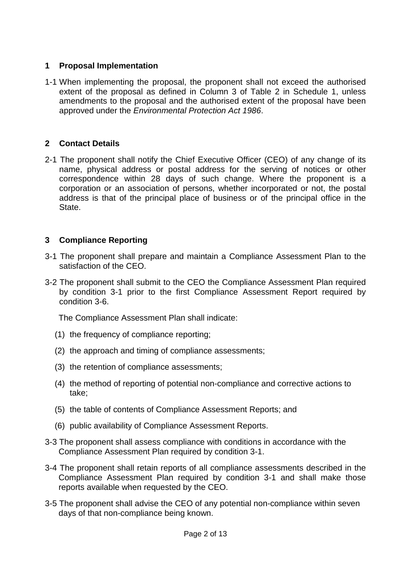### **1 Proposal Implementation**

1-1 When implementing the proposal, the proponent shall not exceed the authorised extent of the proposal as defined in Column 3 of Table 2 in Schedule 1, unless amendments to the proposal and the authorised extent of the proposal have been approved under the *Environmental Protection Act 1986*.

## **2 Contact Details**

2-1 The proponent shall notify the Chief Executive Officer (CEO) of any change of its name, physical address or postal address for the serving of notices or other correspondence within 28 days of such change. Where the proponent is a corporation or an association of persons, whether incorporated or not, the postal address is that of the principal place of business or of the principal office in the State.

## **3 Compliance Reporting**

- 3-1 The proponent shall prepare and maintain a Compliance Assessment Plan to the satisfaction of the CEO.
- 3-2 The proponent shall submit to the CEO the Compliance Assessment Plan required by condition 3-1 prior to the first Compliance Assessment Report required by condition 3-6.

The Compliance Assessment Plan shall indicate:

- (1) the frequency of compliance reporting;
- (2) the approach and timing of compliance assessments;
- (3) the retention of compliance assessments;
- (4) the method of reporting of potential non-compliance and corrective actions to take;
- (5) the table of contents of Compliance Assessment Reports; and
- (6) public availability of Compliance Assessment Reports.
- 3-3 The proponent shall assess compliance with conditions in accordance with the Compliance Assessment Plan required by condition 3-1.
- 3-4 The proponent shall retain reports of all compliance assessments described in the Compliance Assessment Plan required by condition 3-1 and shall make those reports available when requested by the CEO.
- 3-5 The proponent shall advise the CEO of any potential non-compliance within seven days of that non-compliance being known.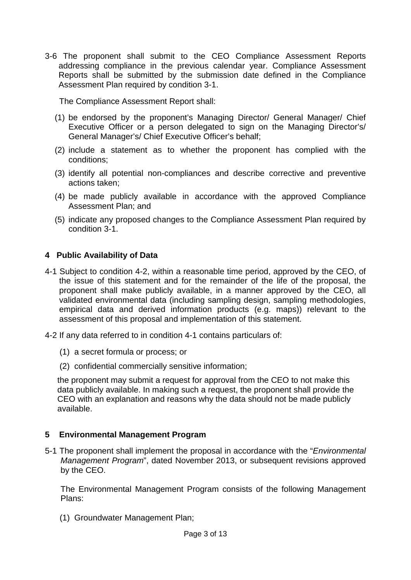3-6 The proponent shall submit to the CEO Compliance Assessment Reports addressing compliance in the previous calendar year. Compliance Assessment Reports shall be submitted by the submission date defined in the Compliance Assessment Plan required by condition 3-1.

The Compliance Assessment Report shall:

- (1) be endorsed by the proponent's Managing Director/ General Manager/ Chief Executive Officer or a person delegated to sign on the Managing Director's/ General Manager's/ Chief Executive Officer's behalf;
- (2) include a statement as to whether the proponent has complied with the conditions;
- (3) identify all potential non-compliances and describe corrective and preventive actions taken;
- (4) be made publicly available in accordance with the approved Compliance Assessment Plan; and
- (5) indicate any proposed changes to the Compliance Assessment Plan required by condition 3-1.

### **4 Public Availability of Data**

- 4-1 Subject to condition 4-2, within a reasonable time period, approved by the CEO, of the issue of this statement and for the remainder of the life of the proposal, the proponent shall make publicly available, in a manner approved by the CEO, all validated environmental data (including sampling design, sampling methodologies, empirical data and derived information products (e.g. maps)) relevant to the assessment of this proposal and implementation of this statement.
- 4-2 If any data referred to in condition 4-1 contains particulars of:
	- (1) a secret formula or process; or
	- (2) confidential commercially sensitive information;

the proponent may submit a request for approval from the CEO to not make this data publicly available. In making such a request, the proponent shall provide the CEO with an explanation and reasons why the data should not be made publicly available.

#### **5 Environmental Management Program**

5-1 The proponent shall implement the proposal in accordance with the "*Environmental Management Program*", dated November 2013, or subsequent revisions approved by the CEO.

The Environmental Management Program consists of the following Management Plans:

(1) Groundwater Management Plan;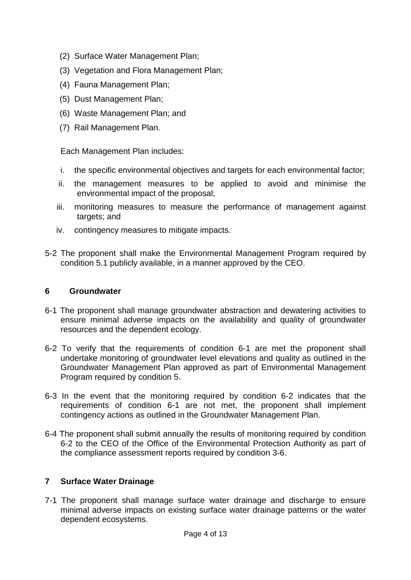- (2) Surface Water Management Plan;
- (3) Vegetation and Flora Management Plan;
- (4) Fauna Management Plan;
- (5) Dust Management Plan;
- (6) Waste Management Plan; and
- (7) Rail Management Plan.

Each Management Plan includes:

- i. the specific environmental objectives and targets for each environmental factor;
- ii. the management measures to be applied to avoid and minimise the environmental impact of the proposal;
- iii. monitoring measures to measure the performance of management against targets; and
- iv. contingency measures to mitigate impacts.
- 5-2 The proponent shall make the Environmental Management Program required by condition 5.1 publicly available, in a manner approved by the CEO.

#### **6 Groundwater**

- 6-1 The proponent shall manage groundwater abstraction and dewatering activities to ensure minimal adverse impacts on the availability and quality of groundwater resources and the dependent ecology.
- 6-2 To verify that the requirements of condition 6-1 are met the proponent shall undertake monitoring of groundwater level elevations and quality as outlined in the Groundwater Management Plan approved as part of Environmental Management Program required by condition 5.
- 6-3 In the event that the monitoring required by condition 6-2 indicates that the requirements of condition 6-1 are not met, the proponent shall implement contingency actions as outlined in the Groundwater Management Plan.
- 6-4 The proponent shall submit annually the results of monitoring required by condition 6-2 to the CEO of the Office of the Environmental Protection Authority as part of the compliance assessment reports required by condition 3-6.

#### **7 Surface Water Drainage**

7-1 The proponent shall manage surface water drainage and discharge to ensure minimal adverse impacts on existing surface water drainage patterns or the water dependent ecosystems.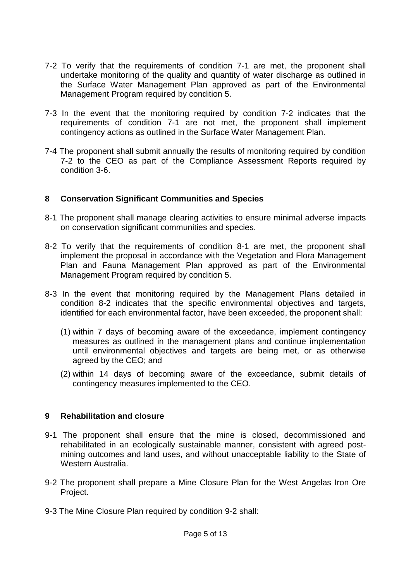- 7-2 To verify that the requirements of condition 7-1 are met, the proponent shall undertake monitoring of the quality and quantity of water discharge as outlined in the Surface Water Management Plan approved as part of the Environmental Management Program required by condition 5.
- 7-3 In the event that the monitoring required by condition 7-2 indicates that the requirements of condition 7-1 are not met, the proponent shall implement contingency actions as outlined in the Surface Water Management Plan.
- 7-4 The proponent shall submit annually the results of monitoring required by condition 7-2 to the CEO as part of the Compliance Assessment Reports required by condition 3-6.

### **8 Conservation Significant Communities and Species**

- 8-1 The proponent shall manage clearing activities to ensure minimal adverse impacts on conservation significant communities and species.
- 8-2 To verify that the requirements of condition 8-1 are met, the proponent shall implement the proposal in accordance with the Vegetation and Flora Management Plan and Fauna Management Plan approved as part of the Environmental Management Program required by condition 5.
- 8-3 In the event that monitoring required by the Management Plans detailed in condition 8-2 indicates that the specific environmental objectives and targets, identified for each environmental factor, have been exceeded, the proponent shall:
	- (1) within 7 days of becoming aware of the exceedance, implement contingency measures as outlined in the management plans and continue implementation until environmental objectives and targets are being met, or as otherwise agreed by the CEO; and
	- (2) within 14 days of becoming aware of the exceedance, submit details of contingency measures implemented to the CEO.

### **9 Rehabilitation and closure**

- 9-1 The proponent shall ensure that the mine is closed, decommissioned and rehabilitated in an ecologically sustainable manner, consistent with agreed postmining outcomes and land uses, and without unacceptable liability to the State of Western Australia.
- 9-2 The proponent shall prepare a Mine Closure Plan for the West Angelas Iron Ore Project.
- 9-3 The Mine Closure Plan required by condition 9-2 shall: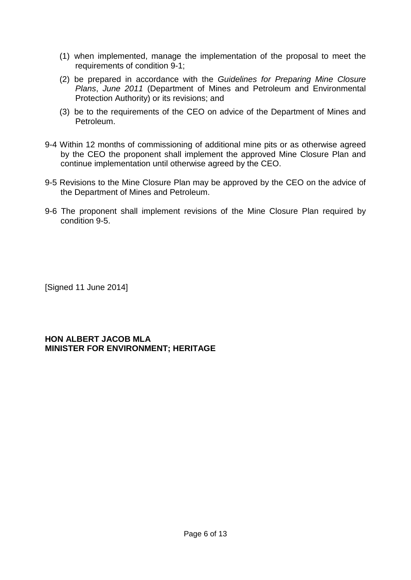- (1) when implemented, manage the implementation of the proposal to meet the requirements of condition 9-1;
- (2) be prepared in accordance with the *Guidelines for Preparing Mine Closure Plans*, *June 2011* (Department of Mines and Petroleum and Environmental Protection Authority) or its revisions; and
- (3) be to the requirements of the CEO on advice of the Department of Mines and Petroleum.
- 9-4 Within 12 months of commissioning of additional mine pits or as otherwise agreed by the CEO the proponent shall implement the approved Mine Closure Plan and continue implementation until otherwise agreed by the CEO.
- 9-5 Revisions to the Mine Closure Plan may be approved by the CEO on the advice of the Department of Mines and Petroleum.
- 9-6 The proponent shall implement revisions of the Mine Closure Plan required by condition 9-5.

[Signed 11 June 2014]

#### **HON ALBERT JACOB MLA MINISTER FOR ENVIRONMENT; HERITAGE**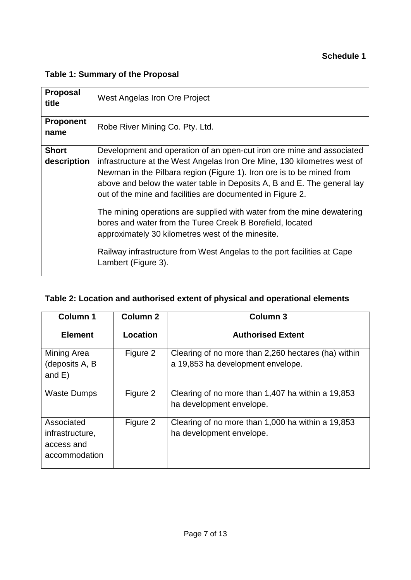### **Schedule 1**

# **Table 1: Summary of the Proposal**

| <b>Proposal</b><br>title    | West Angelas Iron Ore Project                                                                                                                                                                                                                                                                                                                                       |  |
|-----------------------------|---------------------------------------------------------------------------------------------------------------------------------------------------------------------------------------------------------------------------------------------------------------------------------------------------------------------------------------------------------------------|--|
| <b>Proponent</b><br>name    | Robe River Mining Co. Pty. Ltd.                                                                                                                                                                                                                                                                                                                                     |  |
| <b>Short</b><br>description | Development and operation of an open-cut iron ore mine and associated<br>infrastructure at the West Angelas Iron Ore Mine, 130 kilometres west of<br>Newman in the Pilbara region (Figure 1). Iron ore is to be mined from<br>above and below the water table in Deposits A, B and E. The general lay<br>out of the mine and facilities are documented in Figure 2. |  |
|                             | The mining operations are supplied with water from the mine dewatering<br>bores and water from the Turee Creek B Borefield, located<br>approximately 30 kilometres west of the minesite.                                                                                                                                                                            |  |
|                             | Railway infrastructure from West Angelas to the port facilities at Cape<br>Lambert (Figure 3).                                                                                                                                                                                                                                                                      |  |

# **Table 2: Location and authorised extent of physical and operational elements**

| <b>Column 1</b>                                              | <b>Column 2</b> | <b>Column 3</b>                                                                          |
|--------------------------------------------------------------|-----------------|------------------------------------------------------------------------------------------|
| <b>Element</b>                                               | Location        | <b>Authorised Extent</b>                                                                 |
| <b>Mining Area</b><br>(deposits A, B<br>and $E$ )            | Figure 2        | Clearing of no more than 2,260 hectares (ha) within<br>a 19,853 ha development envelope. |
| <b>Waste Dumps</b>                                           | Figure 2        | Clearing of no more than 1,407 ha within a 19,853<br>ha development envelope.            |
| Associated<br>infrastructure,<br>access and<br>accommodation | Figure 2        | Clearing of no more than 1,000 ha within a 19,853<br>ha development envelope.            |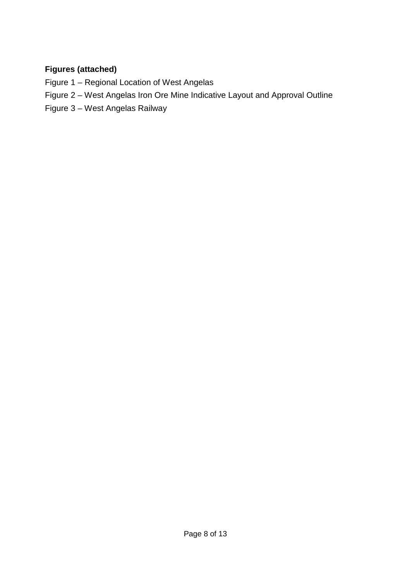# **Figures (attached)**

- Figure 1 Regional Location of West Angelas
- Figure 2 West Angelas Iron Ore Mine Indicative Layout and Approval Outline
- Figure 3 West Angelas Railway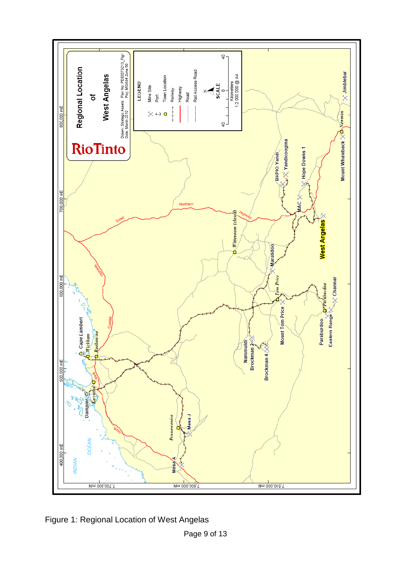

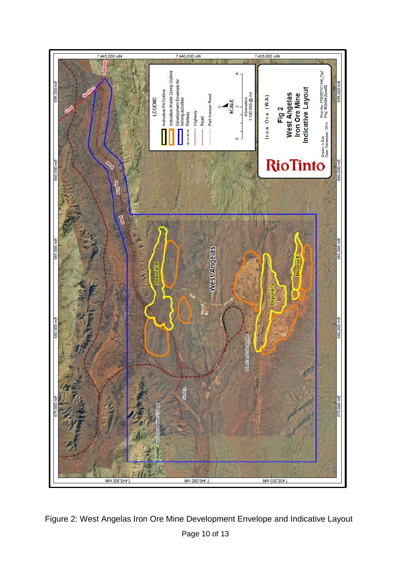

Page 10 of 13 Figure 2: West Angelas Iron Ore Mine Development Envelope and Indicative Layout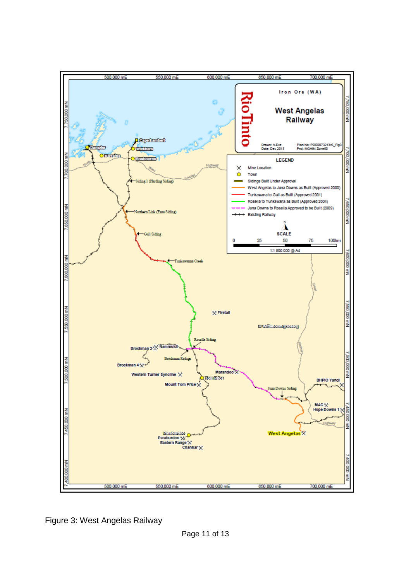

Figure 3: West Angelas Railway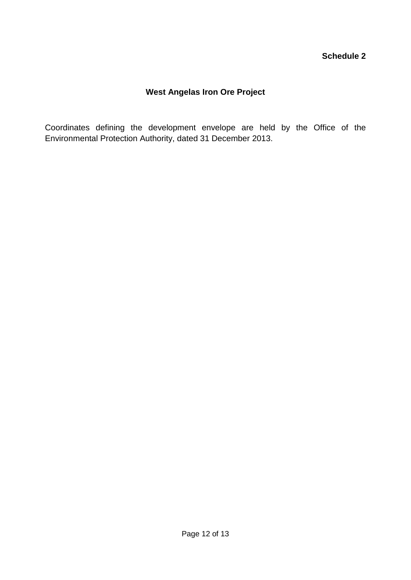### **Schedule 2**

# **West Angelas Iron Ore Project**

Coordinates defining the development envelope are held by the Office of the Environmental Protection Authority, dated 31 December 2013.